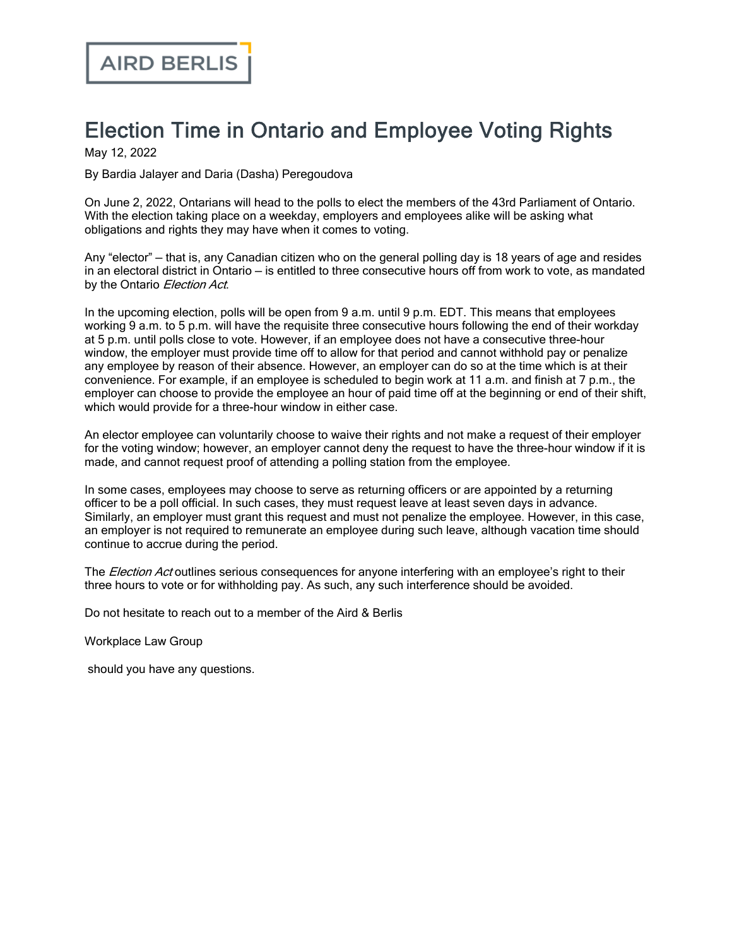## Election Time in Ontario and Employee Voting Rights

May 12, 2022

By Bardia Jalayer and Daria (Dasha) Peregoudova

On June 2, 2022, Ontarians will head to the polls to elect the members of the 43rd Parliament of Ontario. With the election taking place on a weekday, employers and employees alike will be asking what obligations and rights they may have when it comes to voting.

Any "elector" — that is, any Canadian citizen who on the general polling day is 18 years of age and resides in an electoral district in Ontario — is entitled to three consecutive hours off from work to vote, as mandated by the Ontario Election Act.

In the upcoming election, polls will be open from 9 a.m. until 9 p.m. EDT. This means that employees working 9 a.m. to 5 p.m. will have the requisite three consecutive hours following the end of their workday at 5 p.m. until polls close to vote. However, if an employee does not have a consecutive three-hour window, the employer must provide time off to allow for that period and cannot withhold pay or penalize any employee by reason of their absence. However, an employer can do so at the time which is at their convenience. For example, if an employee is scheduled to begin work at 11 a.m. and finish at 7 p.m., the employer can choose to provide the employee an hour of paid time off at the beginning or end of their shift, which would provide for a three-hour window in either case.

An elector employee can voluntarily choose to waive their rights and not make a request of their employer for the voting window; however, an employer cannot deny the request to have the three-hour window if it is made, and cannot request proof of attending a polling station from the employee.

In some cases, employees may choose to serve as returning officers or are appointed by a returning officer to be a poll official. In such cases, they must request leave at least seven days in advance. Similarly, an employer must grant this request and must not penalize the employee. However, in this case, an employer is not required to remunerate an employee during such leave, although vacation time should continue to accrue during the period.

The *Election Act* outlines serious consequences for anyone interfering with an employee's right to their three hours to vote or for withholding pay. As such, any such interference should be avoided.

Do not hesitate to reach out to a member of the Aird & Berlis

[Workplace](https://www.airdberlis.com/what-we-do/expertise/service/workplace) Law Group

should you have any questions.